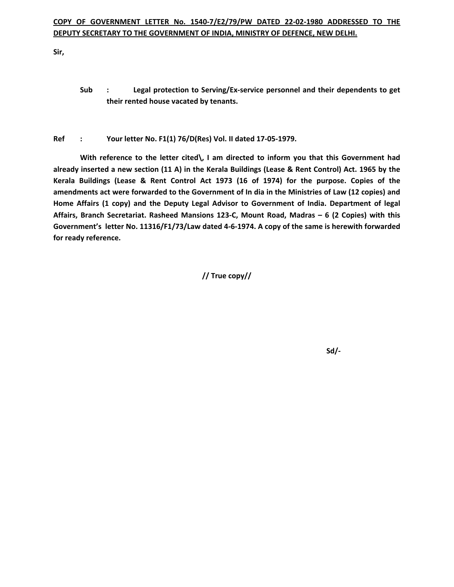### **COPY OF GOVERNMENT LETTER No. 1540‐7/E2/79/PW DATED 22‐02‐1980 ADDRESSED TO THE DEPUTY SECRETARY TO THE GOVERNMENT OF INDIA, MINISTRY OF DEFENCE, NEW DELHI.**

**Sir,**

**Sub : Legal protection to Serving/Ex‐service personnel and their dependents to get their rented house vacated by tenants.**

**Ref : Your letter No. F1(1) 76/D(Res) Vol. II dated 17‐05‐1979.**

**With reference to the letter cited\, I am directed to inform you that this Government had** already inserted a new section (11 A) in the Kerala Buildings (Lease & Rent Control) Act. 1965 by the **Kerala Buildings (Lease & Rent Control Act 1973 (16 of 1974) for the purpose. Copies of the amendments act were forwarded to the Government of In dia in the Ministries of Law (12 copies) and Home Affairs (1 copy) and the Deputy Legal Advisor to Government of India. Department of legal Affairs, Branch Secretariat. Rasheed Mansions 123‐C, Mount Road, Madras – 6 (2 Copies) with this** Government's letter No. 11316/F1/73/Law dated 4-6-1974. A copy of the same is herewith forwarded **for ready reference.** 

### **// True copy//**

 **Sd/‐**